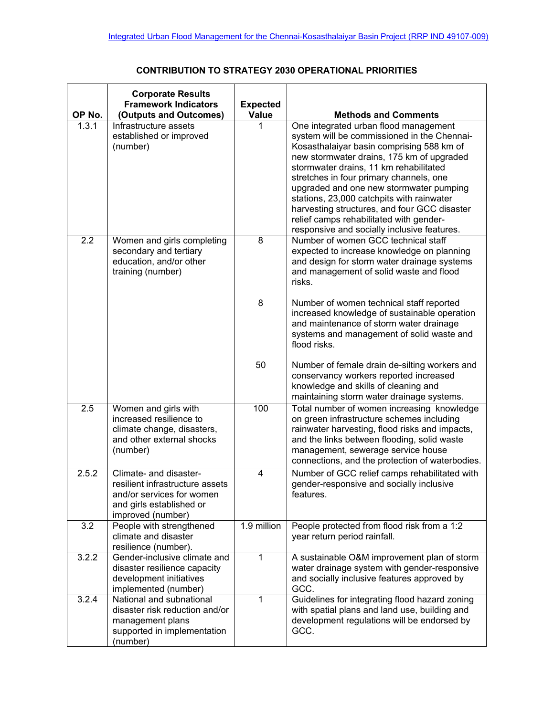## **CONTRIBUTION TO STRATEGY 2030 OPERATIONAL PRIORITIES**

| OP No. | <b>Corporate Results</b><br><b>Framework Indicators</b><br>(Outputs and Outcomes)                                                       | <b>Expected</b><br><b>Value</b> | <b>Methods and Comments</b>                                                                                                                                                                                                                                                                                                                                                                                                                                                                           |
|--------|-----------------------------------------------------------------------------------------------------------------------------------------|---------------------------------|-------------------------------------------------------------------------------------------------------------------------------------------------------------------------------------------------------------------------------------------------------------------------------------------------------------------------------------------------------------------------------------------------------------------------------------------------------------------------------------------------------|
| 1.3.1  | Infrastructure assets<br>established or improved<br>(number)                                                                            | 1                               | One integrated urban flood management<br>system will be commissioned in the Chennai-<br>Kosasthalaiyar basin comprising 588 km of<br>new stormwater drains, 175 km of upgraded<br>stormwater drains, 11 km rehabilitated<br>stretches in four primary channels, one<br>upgraded and one new stormwater pumping<br>stations, 23,000 catchpits with rainwater<br>harvesting structures, and four GCC disaster<br>relief camps rehabilitated with gender-<br>responsive and socially inclusive features. |
| 2.2    | Women and girls completing<br>secondary and tertiary<br>education, and/or other<br>training (number)                                    | 8                               | Number of women GCC technical staff<br>expected to increase knowledge on planning<br>and design for storm water drainage systems<br>and management of solid waste and flood<br>risks.                                                                                                                                                                                                                                                                                                                 |
|        |                                                                                                                                         | 8                               | Number of women technical staff reported<br>increased knowledge of sustainable operation<br>and maintenance of storm water drainage<br>systems and management of solid waste and<br>flood risks.                                                                                                                                                                                                                                                                                                      |
|        |                                                                                                                                         | 50                              | Number of female drain de-silting workers and<br>conservancy workers reported increased<br>knowledge and skills of cleaning and<br>maintaining storm water drainage systems.                                                                                                                                                                                                                                                                                                                          |
| 2.5    | Women and girls with<br>increased resilience to<br>climate change, disasters,<br>and other external shocks<br>(number)                  | 100                             | Total number of women increasing knowledge<br>on green infrastructure schemes including<br>rainwater harvesting, flood risks and impacts,<br>and the links between flooding, solid waste<br>management, sewerage service house<br>connections, and the protection of waterbodies.                                                                                                                                                                                                                     |
| 2.5.2  | Climate- and disaster-<br>resilient infrastructure assets<br>and/or services for women<br>and girls established or<br>improved (number) | 4                               | Number of GCC relief camps rehabilitated with<br>gender-responsive and socially inclusive<br>features.                                                                                                                                                                                                                                                                                                                                                                                                |
| 3.2    | People with strengthened<br>climate and disaster<br>resilience (number).                                                                | 1.9 million                     | People protected from flood risk from a 1:2<br>year return period rainfall.                                                                                                                                                                                                                                                                                                                                                                                                                           |
| 3.2.2  | Gender-inclusive climate and<br>disaster resilience capacity<br>development initiatives<br>implemented (number)                         | 1                               | A sustainable O&M improvement plan of storm<br>water drainage system with gender-responsive<br>and socially inclusive features approved by<br>GCC.                                                                                                                                                                                                                                                                                                                                                    |
| 3.2.4  | National and subnational<br>disaster risk reduction and/or<br>management plans<br>supported in implementation<br>(number)               | 1                               | Guidelines for integrating flood hazard zoning<br>with spatial plans and land use, building and<br>development regulations will be endorsed by<br>GCC.                                                                                                                                                                                                                                                                                                                                                |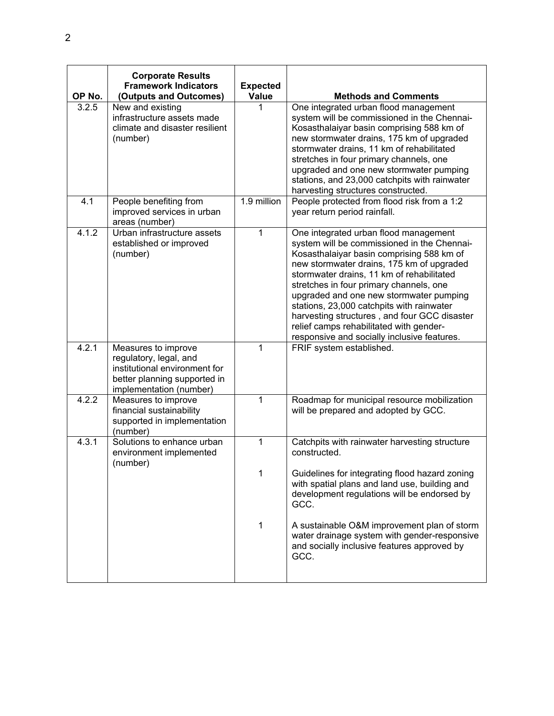| OP No. | <b>Corporate Results</b><br><b>Framework Indicators</b><br>(Outputs and Outcomes)                                                         | <b>Expected</b><br>Value | <b>Methods and Comments</b>                                                                                                                                                                                                                                                                                                                                                                                                                                                                              |
|--------|-------------------------------------------------------------------------------------------------------------------------------------------|--------------------------|----------------------------------------------------------------------------------------------------------------------------------------------------------------------------------------------------------------------------------------------------------------------------------------------------------------------------------------------------------------------------------------------------------------------------------------------------------------------------------------------------------|
| 3.2.5  | New and existing<br>infrastructure assets made<br>climate and disaster resilient<br>(number)                                              |                          | One integrated urban flood management<br>system will be commissioned in the Chennai-<br>Kosasthalaiyar basin comprising 588 km of<br>new stormwater drains, 175 km of upgraded<br>stormwater drains, 11 km of rehabilitated<br>stretches in four primary channels, one<br>upgraded and one new stormwater pumping<br>stations, and 23,000 catchpits with rainwater<br>harvesting structures constructed.                                                                                                 |
| 4.1    | People benefiting from<br>improved services in urban<br>areas (number)                                                                    | 1.9 million              | People protected from flood risk from a 1:2<br>year return period rainfall.                                                                                                                                                                                                                                                                                                                                                                                                                              |
| 4.1.2  | Urban infrastructure assets<br>established or improved<br>(number)                                                                        | 1                        | One integrated urban flood management<br>system will be commissioned in the Chennai-<br>Kosasthalaiyar basin comprising 588 km of<br>new stormwater drains, 175 km of upgraded<br>stormwater drains, 11 km of rehabilitated<br>stretches in four primary channels, one<br>upgraded and one new stormwater pumping<br>stations, 23,000 catchpits with rainwater<br>harvesting structures, and four GCC disaster<br>relief camps rehabilitated with gender-<br>responsive and socially inclusive features. |
| 4.2.1  | Measures to improve<br>regulatory, legal, and<br>institutional environment for<br>better planning supported in<br>implementation (number) | 1                        | FRIF system established.                                                                                                                                                                                                                                                                                                                                                                                                                                                                                 |
| 4.2.2  | Measures to improve<br>financial sustainability<br>supported in implementation<br>(number)                                                | 1                        | Roadmap for municipal resource mobilization<br>will be prepared and adopted by GCC.                                                                                                                                                                                                                                                                                                                                                                                                                      |
| 4.3.1  | Solutions to enhance urban<br>environment implemented<br>(number)                                                                         | 1<br>1                   | Catchpits with rainwater harvesting structure<br>constructed.<br>Guidelines for integrating flood hazard zoning<br>with spatial plans and land use, building and<br>development regulations will be endorsed by<br>GCC.<br>A sustainable O&M improvement plan of storm<br>water drainage system with gender-responsive<br>and socially inclusive features approved by<br>GCC.                                                                                                                            |